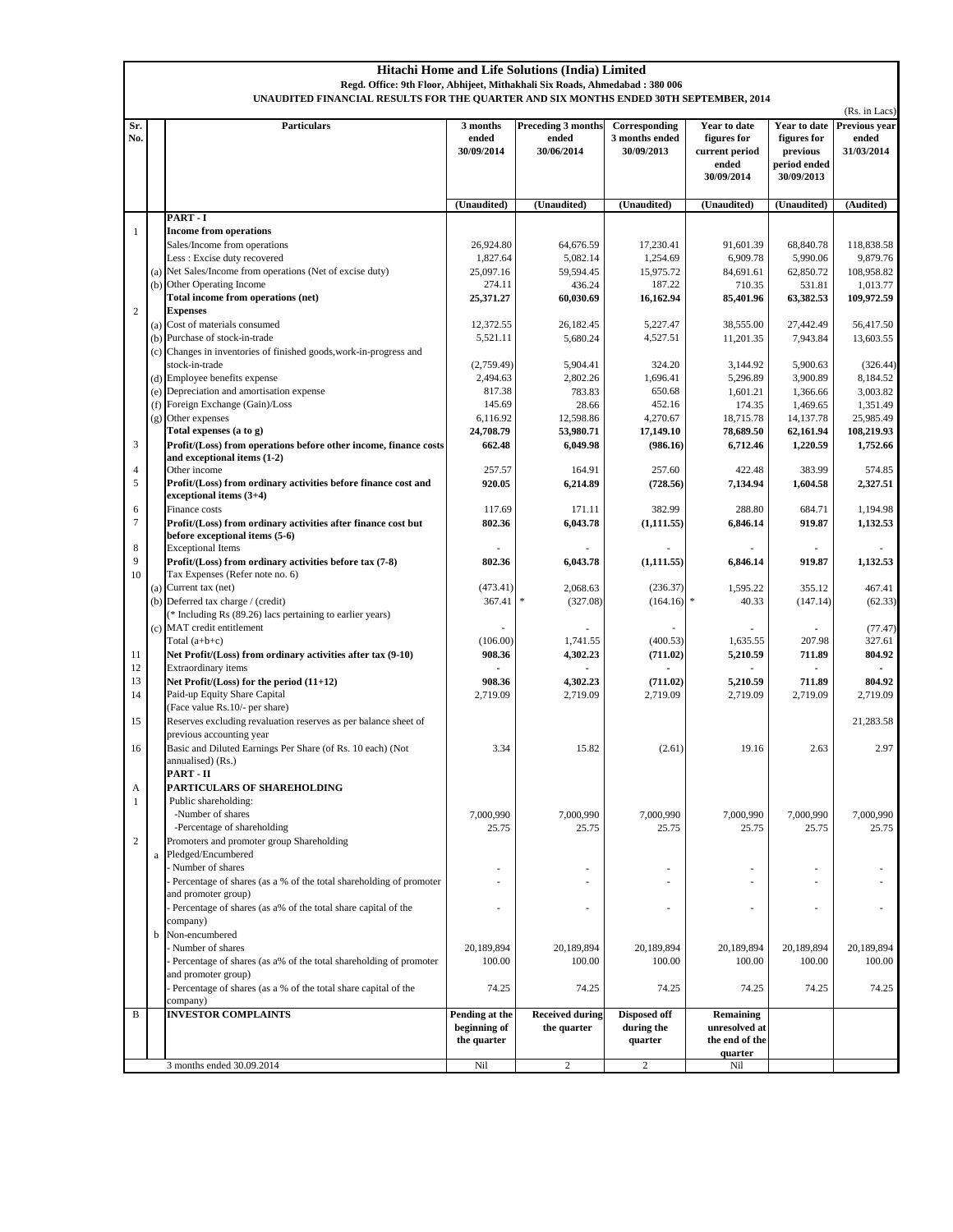|                | <b>Hitachi Home and Life Solutions (India) Limited</b><br>Regd. Office: 9th Floor, Abhijeet, Mithakhali Six Roads, Ahmedabad: 380 006<br>UNAUDITED FINANCIAL RESULTS FOR THE QUARTER AND SIX MONTHS ENDED 30TH SEPTEMBER, 2014 |                                                                                                 |                                               |                                           |                                               |                                                                      |                                                                       |                                                       |  |  |  |
|----------------|--------------------------------------------------------------------------------------------------------------------------------------------------------------------------------------------------------------------------------|-------------------------------------------------------------------------------------------------|-----------------------------------------------|-------------------------------------------|-----------------------------------------------|----------------------------------------------------------------------|-----------------------------------------------------------------------|-------------------------------------------------------|--|--|--|
| Sr.<br>No.     |                                                                                                                                                                                                                                | Particulars                                                                                     | 3 months<br>ended<br>30/09/2014               | Preceding 3 months<br>ended<br>30/06/2014 | Corresponding<br>3 months ended<br>30/09/2013 | Year to date<br>figures for<br>current period<br>ended<br>30/09/2014 | Year to date<br>figures for<br>previous<br>period ended<br>30/09/2013 | (Rs. in Lacs)<br>Previous year<br>ended<br>31/03/2014 |  |  |  |
|                |                                                                                                                                                                                                                                |                                                                                                 | (Unaudited)                                   | (Unaudited)                               | (Unaudited)                                   | (Unaudited)                                                          | (Unaudited)                                                           | (Audited)                                             |  |  |  |
| $\mathbf{1}$   |                                                                                                                                                                                                                                | PART - I<br><b>Income from operations</b>                                                       |                                               |                                           |                                               |                                                                      |                                                                       |                                                       |  |  |  |
|                |                                                                                                                                                                                                                                | Sales/Income from operations                                                                    | 26,924.80                                     | 64,676.59                                 | 17,230.41                                     | 91,601.39                                                            | 68,840.78                                                             | 118,838.58                                            |  |  |  |
|                |                                                                                                                                                                                                                                | Less : Excise duty recovered                                                                    | 1,827.64                                      | 5,082.14                                  | 1,254.69                                      | 6,909.78                                                             | 5,990.06                                                              | 9,879.76                                              |  |  |  |
|                |                                                                                                                                                                                                                                | (a) Net Sales/Income from operations (Net of excise duty)                                       | 25,097.16                                     | 59,594.45                                 | 15,975.72                                     | 84,691.61                                                            | 62,850.72                                                             | 108,958.82                                            |  |  |  |
|                | (b)                                                                                                                                                                                                                            | Other Operating Income                                                                          | 274.11                                        | 436.24                                    | 187.22                                        | 710.35                                                               | 531.81                                                                | 1,013.77                                              |  |  |  |
|                |                                                                                                                                                                                                                                | Total income from operations (net)                                                              | 25,371.27                                     | 60,030.69                                 | 16,162.94                                     | 85,401.96                                                            | 63,382.53                                                             | 109,972.59                                            |  |  |  |
| $\sqrt{2}$     |                                                                                                                                                                                                                                | <b>Expenses</b>                                                                                 |                                               |                                           |                                               |                                                                      |                                                                       |                                                       |  |  |  |
|                | (a)<br>(b)                                                                                                                                                                                                                     | Cost of materials consumed<br>Purchase of stock-in-trade                                        | 12,372.55<br>5,521.11                         | 26,182.45<br>5,680.24                     | 5,227.47<br>4,527.51                          | 38,555.00<br>11,201.35                                               | 27,442.49<br>7,943.84                                                 | 56,417.50<br>13,603.55                                |  |  |  |
|                |                                                                                                                                                                                                                                | (c) Changes in inventories of finished goods, work-in-progress and                              |                                               |                                           |                                               |                                                                      |                                                                       |                                                       |  |  |  |
|                |                                                                                                                                                                                                                                | stock-in-trade                                                                                  | (2,759.49)                                    | 5,904.41                                  | 324.20                                        | 3,144.92                                                             | 5,900.63                                                              | (326.44)                                              |  |  |  |
|                |                                                                                                                                                                                                                                | (d) Employee benefits expense                                                                   | 2,494.63                                      | 2,802.26                                  | 1,696.41                                      | 5,296.89                                                             | 3,900.89                                                              | 8,184.52                                              |  |  |  |
|                |                                                                                                                                                                                                                                | (e) Depreciation and amortisation expense                                                       | 817.38                                        | 783.83                                    | 650.68                                        | 1,601.21                                                             | 1,366.66                                                              | 3,003.82                                              |  |  |  |
|                | (f)                                                                                                                                                                                                                            | Foreign Exchange (Gain)/Loss                                                                    | 145.69                                        | 28.66                                     | 452.16                                        | 174.35                                                               | 1,469.65                                                              | 1,351.49                                              |  |  |  |
|                | (g)                                                                                                                                                                                                                            | Other expenses                                                                                  | 6,116.92                                      | 12,598.86                                 | 4,270.67                                      | 18,715.78                                                            | 14,137.78                                                             | 25,985.49                                             |  |  |  |
|                |                                                                                                                                                                                                                                | Total expenses (a to g)                                                                         | 24,708.79                                     | 53,980.71                                 | 17,149.10                                     | 78,689.50                                                            | 62,161.94                                                             | 108,219.93                                            |  |  |  |
| 3              |                                                                                                                                                                                                                                | Profit/(Loss) from operations before other income, finance costs<br>and exceptional items (1-2) | 662.48                                        | 6,049.98                                  | (986.16)                                      | 6,712.46                                                             | 1,220.59                                                              | 1,752.66                                              |  |  |  |
| $\overline{4}$ |                                                                                                                                                                                                                                | Other income                                                                                    | 257.57                                        | 164.91                                    | 257.60                                        | 422.48                                                               | 383.99                                                                | 574.85                                                |  |  |  |
| 5              |                                                                                                                                                                                                                                | Profit/(Loss) from ordinary activities before finance cost and                                  | 920.05                                        | 6,214.89                                  | (728.56)                                      | 7,134.94                                                             | 1,604.58                                                              | 2,327.51                                              |  |  |  |
|                |                                                                                                                                                                                                                                | exceptional items (3+4)                                                                         |                                               |                                           |                                               |                                                                      |                                                                       |                                                       |  |  |  |
| 6              |                                                                                                                                                                                                                                | Finance costs                                                                                   | 117.69                                        | 171.11                                    | 382.99                                        | 288.80                                                               | 684.71                                                                | 1,194.98                                              |  |  |  |
| $\overline{7}$ |                                                                                                                                                                                                                                | Profit/(Loss) from ordinary activities after finance cost but                                   | 802.36                                        | 6,043.78                                  | (1, 111.55)                                   | 6,846.14                                                             | 919.87                                                                | 1,132.53                                              |  |  |  |
| 8              |                                                                                                                                                                                                                                | before exceptional items (5-6)<br><b>Exceptional Items</b>                                      |                                               |                                           |                                               |                                                                      |                                                                       |                                                       |  |  |  |
| 9              |                                                                                                                                                                                                                                | Profit/(Loss) from ordinary activities before tax (7-8)                                         | 802.36                                        | 6,043.78                                  | (1, 111.55)                                   | 6,846.14                                                             | 919.87                                                                | 1,132.53                                              |  |  |  |
| 10             |                                                                                                                                                                                                                                | Tax Expenses (Refer note no. 6)                                                                 |                                               |                                           |                                               |                                                                      |                                                                       |                                                       |  |  |  |
|                |                                                                                                                                                                                                                                | (a) Current tax (net)                                                                           | (473.41)                                      | 2,068.63                                  | (236.37)                                      | 1,595.22                                                             | 355.12                                                                | 467.41                                                |  |  |  |
|                |                                                                                                                                                                                                                                | (b) Deferred tax charge / (credit)                                                              | 367.41                                        | (327.08)<br>宗                             | (164.16)                                      | $\ast$<br>40.33                                                      | (147.14)                                                              | (62.33)                                               |  |  |  |
|                |                                                                                                                                                                                                                                | (* Including Rs (89.26) lacs pertaining to earlier years)                                       |                                               |                                           |                                               |                                                                      |                                                                       |                                                       |  |  |  |
|                |                                                                                                                                                                                                                                | (c) MAT credit entitlement                                                                      |                                               |                                           |                                               |                                                                      |                                                                       | (77.47)                                               |  |  |  |
| 11             |                                                                                                                                                                                                                                | Total $(a+b+c)$<br>Net Profit/(Loss) from ordinary activities after tax (9-10)                  | (106.00)<br>908.36                            | 1,741.55<br>4,302.23                      | (400.53)<br>(711.02)                          | 1,635.55<br>5,210.59                                                 | 207.98<br>711.89                                                      | 327.61<br>804.92                                      |  |  |  |
| 12             |                                                                                                                                                                                                                                | Extraordinary items                                                                             |                                               |                                           |                                               |                                                                      |                                                                       | $\mathbf{r}$                                          |  |  |  |
| 13             |                                                                                                                                                                                                                                | Net Profit/(Loss) for the period (11+12)                                                        | 908.36                                        | 4,302.23                                  | (711.02)                                      | 5,210.59                                                             | 711.89                                                                | 804.92                                                |  |  |  |
| 14             |                                                                                                                                                                                                                                | Paid-up Equity Share Capital                                                                    | 2,719.09                                      | 2,719.09                                  | 2,719.09                                      | 2,719.09                                                             | 2,719.09                                                              | 2,719.09                                              |  |  |  |
|                |                                                                                                                                                                                                                                | (Face value Rs.10/- per share)                                                                  |                                               |                                           |                                               |                                                                      |                                                                       |                                                       |  |  |  |
| 15             |                                                                                                                                                                                                                                | Reserves excluding revaluation reserves as per balance sheet of                                 |                                               |                                           |                                               |                                                                      |                                                                       | 21,283.58                                             |  |  |  |
|                |                                                                                                                                                                                                                                | previous accounting year                                                                        |                                               |                                           |                                               |                                                                      |                                                                       |                                                       |  |  |  |
| 16             |                                                                                                                                                                                                                                | Basic and Diluted Earnings Per Share (of Rs. 10 each) (Not<br>annualised) (Rs.)                 | 3.34                                          | 15.82                                     | (2.61)                                        | 19.16                                                                | 2.63                                                                  | 2.97                                                  |  |  |  |
|                |                                                                                                                                                                                                                                | PART - II                                                                                       |                                               |                                           |                                               |                                                                      |                                                                       |                                                       |  |  |  |
| A              |                                                                                                                                                                                                                                | PARTICULARS OF SHAREHOLDING                                                                     |                                               |                                           |                                               |                                                                      |                                                                       |                                                       |  |  |  |
| $\mathbf{1}$   |                                                                                                                                                                                                                                | Public shareholding:                                                                            |                                               |                                           |                                               |                                                                      |                                                                       |                                                       |  |  |  |
|                |                                                                                                                                                                                                                                | -Number of shares                                                                               | 7,000,990                                     | 7,000,990                                 | 7,000,990                                     | 7,000,990                                                            | 7,000,990                                                             | 7,000,990                                             |  |  |  |
|                |                                                                                                                                                                                                                                | -Percentage of shareholding                                                                     | 25.75                                         | 25.75                                     | 25.75                                         | 25.75                                                                | 25.75                                                                 | 25.75                                                 |  |  |  |
| $\overline{c}$ |                                                                                                                                                                                                                                | Promoters and promoter group Shareholding<br>Pledged/Encumbered                                 |                                               |                                           |                                               |                                                                      |                                                                       |                                                       |  |  |  |
|                | a                                                                                                                                                                                                                              | Number of shares                                                                                |                                               |                                           |                                               |                                                                      |                                                                       |                                                       |  |  |  |
|                |                                                                                                                                                                                                                                | Percentage of shares (as a % of the total shareholding of promoter                              |                                               |                                           |                                               | ÷                                                                    |                                                                       |                                                       |  |  |  |
|                |                                                                                                                                                                                                                                | and promoter group)                                                                             |                                               |                                           |                                               |                                                                      |                                                                       |                                                       |  |  |  |
|                |                                                                                                                                                                                                                                | Percentage of shares (as a% of the total share capital of the                                   |                                               |                                           |                                               |                                                                      |                                                                       |                                                       |  |  |  |
|                |                                                                                                                                                                                                                                | company)                                                                                        |                                               |                                           |                                               |                                                                      |                                                                       |                                                       |  |  |  |
|                | b                                                                                                                                                                                                                              | Non-encumbered                                                                                  |                                               |                                           |                                               |                                                                      |                                                                       |                                                       |  |  |  |
|                |                                                                                                                                                                                                                                | Number of shares                                                                                | 20,189,894                                    | 20,189,894                                | 20,189,894                                    | 20,189,894                                                           | 20,189,894                                                            | 20,189,894                                            |  |  |  |
|                |                                                                                                                                                                                                                                | Percentage of shares (as a% of the total shareholding of promoter<br>and promoter group)        | 100.00                                        | 100.00                                    | 100.00                                        | 100.00                                                               | 100.00                                                                | 100.00                                                |  |  |  |
|                |                                                                                                                                                                                                                                | Percentage of shares (as a % of the total share capital of the                                  | 74.25                                         | 74.25                                     | 74.25                                         | 74.25                                                                | 74.25                                                                 | 74.25                                                 |  |  |  |
|                |                                                                                                                                                                                                                                | company)                                                                                        |                                               |                                           |                                               |                                                                      |                                                                       |                                                       |  |  |  |
| B              |                                                                                                                                                                                                                                | <b>INVESTOR COMPLAINTS</b>                                                                      | Pending at the<br>beginning of<br>the quarter | <b>Received during</b><br>the quarter     | Disposed off<br>during the<br>quarter         | Remaining<br>unresolved at<br>the end of the                         |                                                                       |                                                       |  |  |  |
|                |                                                                                                                                                                                                                                | 3 months ended 30.09.2014                                                                       | Nil                                           | $\mathbf{2}$                              | $\mathbf{2}$                                  | quarter<br>Nil                                                       |                                                                       |                                                       |  |  |  |